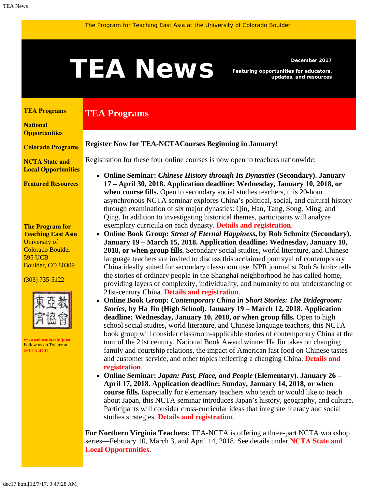# <span id="page-0-1"></span>December 2017<br> **TEANS** Featuring opportunities for educators,<br>
updates, and resources

**TEA Programs**

*Featuring opportunities for educators, updates, and resources*

#### <span id="page-0-0"></span>**[TEA Programs](#page-0-0)**

**[National](#page-0-1)  [Opportunities](#page-0-1)**

**[Colorado Programs](#page-0-1)**

**[NCTA State and](#page-3-0) [Local Opportunities](#page-3-0)**

**[Featured Resources](#page-4-0)**

#### **The Program for Teaching East Asia** University of Colorado Boulder 595 UCB Boulder, CO 80309

(303) 735-5122



**[www.colorado.edu/ptea](http://www.colorado.edu/cas/tea)** Follow us on Twitter at **[@TEAatCU](https://twitter.com/TEAatCU)**

Registration for these four online courses is now open to teachers nationwide:

**Register Now for TEA-NCTACourses Beginning in January!**

- **Online Seminar:** *Chinese History through Its Dynasties* **(Secondary). January 17 – April 30, 2018. Application deadline: Wednesday, January 10, 2018, or when course fills.** Open to secondary social studies teachers, this 20-hour asynchronous NCTA seminar explores China's political, social, and cultural history through examination of six major dynasties: Qin, Han, Tang, Song, Ming, and Qing. In addition to investigating historical themes, participants will analyze exemplary curricula on each dynasty. **[Details and registration](http://www.colorado.edu/ptea/ChinaSem)**.
- **Online Book Group:** *Street of Eternal Happiness***, by Rob Schmitz (Secondary). January 19 – March 15, 2018. Application deadline: Wednesday, January 10, 2018, or when group fills.** Secondary social studies, world literature, and Chinese language teachers are invited to discuss this acclaimed portrayal of contemporary China ideally suited for secondary classroom use. NPR journalist Rob Schmitz tells the stories of ordinary people in the Shanghai neighborhood he has called home, providing layers of complexity, individuality, and humanity to our understanding of 21st-century China. **[Details and registration](http://www.colorado.edu/ptea/ChinaStreet)**.
- **Online Book Group:** *Contemporary China in Short Stories: The Bridegroom: Stories,* **by Ha Jin (High School). January 19 – March 12, 2018. Application deadline: Wednesday, January 10, 2018, or when group fills.** Open to high school social studies, world literature, and Chinese language teachers, this NCTA book group will consider classroom-applicable stories of contemporary China at the turn of the 21st century. National Book Award winner Ha Jin takes on changing family and courtship relations, the impact of American fast food on Chinese tastes and customer service, and other topics reflecting a changing China. **[Details and](http://www.colorado.edu/ptea/Bridegroom) [registration](http://www.colorado.edu/ptea/Bridegroom)**.
- **Online Seminar:** *Japan: Past, Place, and People* **(Elementary). January 26 – April 17, 2018. Application deadline: Sunday, January 14, 2018, or when course fills.** Especially for elementary teachers who teach or would like to teach about Japan, this NCTA seminar introduces Japan's history, geography, and culture. Participants will consider cross-curricular ideas that integrate literacy and social studies strategies. **[Details and registration](http://www.colorado.edu/ptea/japancourse)**.

**For Northern Virginia Teachers:** TEA-NCTA is offering a three-part NCTA workshop series—February 10, March 3, and April 14, 2018. See details under **[NCTA State and](#page-3-0) [Local Opportunities](#page-3-0)**.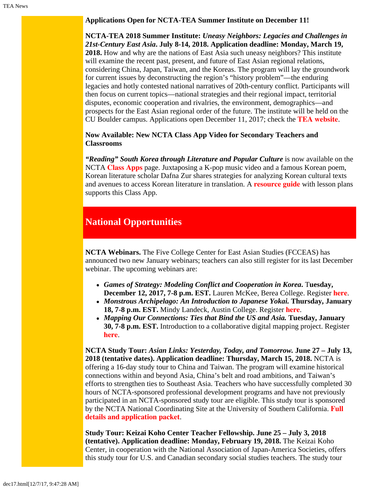**Applications Open for NCTA-TEA Summer Institute on December 11!**

**NCTA-TEA 2018 Summer Institute:** *Uneasy Neighbors: Legacies and Challenges in 21st-Century East Asia***. July 8-14, 2018. Application deadline: Monday, March 19, 2018.** How and why are the nations of East Asia such uneasy neighbors? This institute will examine the recent past, present, and future of East Asian regional relations, considering China, Japan, Taiwan, and the Koreas. The program will lay the groundwork for current issues by deconstructing the region's "history problem"—the enduring legacies and hotly contested national narratives of 20th-century conflict. Participants will then focus on current topics—national strategies and their regional impact, territorial disputes, economic cooperation and rivalries, the environment, demographics—and prospects for the East Asian regional order of the future. The institute will be held on the CU Boulder campus. Applications open December 11, 2017; check the **[TEA website](http://www.colorado.edu/ptea)**.

**Now Available: New NCTA Class App Video for Secondary Teachers and Classrooms**

*"Reading" South Korea through Literature and Popular Culture* is now available on the NCTA **[Class Apps](http://nctasia.org/resources/class-apps/)** page. Juxtaposing a K-pop music video and a famous Korean poem, Korean literature scholar Dafna Zur shares strategies for analyzing Korean cultural texts and avenues to access Korean literature in translation. A **[resource guide](https://www.colorado.edu/ptea/sites/default/files/attached-files/zurclassappresources.pdf)** with lesson plans supports this Class App.

## **National Opportunities**

**NCTA Webinars.** The Five College Center for East Asian Studies (FCCEAS) has announced two new January webinars; teachers can also still register for its last December webinar. The upcoming webinars are:

- *Games of Strategy: Modeling Conflict and Cooperation in Korea***.** T**uesday, December 12, 2017, 7-8 p.m. EST.** Lauren McKee, Berea College. Register **[here](https://attendee.gotowebinar.com/register/7322684055649507075)**.
- *Monstrous Archipelago: An Introduction to Japanese Yokai.* **Thursday, January 18, 7-8 p.m. EST.** Mindy Landeck, Austin College. Register **[here](https://attendee.gotowebinar.com/register/4494250866909064707)**.
- *Mapping Our Connections: Ties that Bind the US and Asia.* **Tuesday, January 30, 7-8 p.m. EST.** Introduction to a collaborative digital mapping project. Register **[here](https://attendee.gotowebinar.com/register/2420443293863571971)**.

**NCTA Study Tour:** *Asian Links: Yesterday, Today, and Tomorrow.* **June 27 – July 13, 2018 (tentative dates). Application deadline: Thursday, March 15, 2018.** NCTA is offering a 16-day study tour to China and Taiwan. The program will examine historical connections within and beyond Asia, China's belt and road ambitions, and Taiwan's efforts to strengthen ties to Southeast Asia. Teachers who have successfully completed 30 hours of NCTA-sponsored professional development programs and have not previously participated in an NCTA-sponsored study tour are eligible. This study tour is sponsored by the NCTA National Coordinating Site at the University of Southern California. **[Full](http://china.usc.edu/seminars/2018-ncta-summer-study-tour-china-and-taiwan) [details and application packet](http://china.usc.edu/seminars/2018-ncta-summer-study-tour-china-and-taiwan)**.

**Study Tour: Keizai Koho Center Teacher Fellowship. June 25 – July 3, 2018 (tentative). Application deadline: Monday, February 19, 2018.** The Keizai Koho Center, in cooperation with the National Association of Japan-America Societies, offers this study tour for U.S. and Canadian secondary social studies teachers. The study tour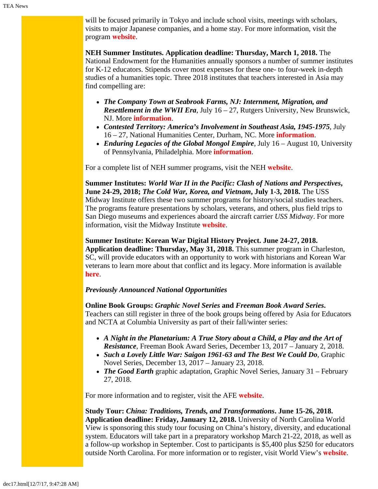will be focused primarily in Tokyo and include school visits, meetings with scholars, visits to major Japanese companies, and a home stay. For more information, visit the program **[website](http://www.us-japan.org/programs/kkc/k2018/index.html)**.

**NEH Summer Institutes. Application deadline: Thursday, March 1, 2018.** The National Endowment for the Humanities annually sponsors a number of summer institutes for K-12 educators. Stipends cover most expenses for these one- to four-week in-depth studies of a humanities topic. Three 2018 institutes that teachers interested in Asia may find compelling are:

- *The Company Town at Seabrook Farms, NJ: Internment, Migration, and Resettlement in the WWII Era*, July 16 – 27, Rutgers University, New Brunswick, NJ. More **[information](http://nehseabrookfarms.org/)**.
- *Contested Territory: America's Involvement in Southeast Asia, 1945-1975*, July 16 – 27, National Humanities Center, Durham, NC. More **[information](http://nationalhumanitiescenter.org/education-programs/contested-territory/)**.
- *Enduring Legacies of the Global Mongol Empire*, July 16 August 10, University of Pennsylvania, Philadelphia. More **[information](http://mongoliacenter.org/programs/neh-institute-2018)**.

For a complete list of NEH summer programs, visit the NEH **[website](http://www.neh.gov/divisions/education/summer-programs)**.

**Summer Institutes:** *World War II in the Pacific: Clash of Nations and Perspectives***, June 24-29, 2018;** *The Cold War, Korea, and Vietnam***, July 1-3, 2018.** The USS Midway Institute offers these two summer programs for history/social studies teachers. The programs feature presentations by scholars, veterans, and others, plus field trips to San Diego museums and experiences aboard the aircraft carrier *USS Midway*. For more information, visit the Midway Institute **[website](http://www.midway.org/midway-institute-teachers)**.

**Summer Institute: Korean War Digital History Project. June 24-27, 2018. Application deadline: Thursday, May 31, 2018.** This summer program in Charleston, SC, will provide educators with an opportunity to work with historians and Korean War veterans to learn more about that conflict and its legacy. More information is available **[here](http://www.kwdhproject.org/teacher-conference)**.

#### *Previously Announced National Opportunities*

**Online Book Groups:** *Graphic Novel Series* **and** *Freeman Book Award Series***.** Teachers can still register in three of the book groups being offered by Asia for Educators and NCTA at Columbia University as part of their fall/winter series:

- *A Night in the Planetarium: A True Story about a Child, a Play and the Art of Resistance*, Freeman Book Award Series, December 13, 2017 – January 2, 2018.
- *Such a Lovely Little War: Saigon 1961-63 and The Best We Could Do*, Graphic Novel Series, December 13, 2017 – January 23, 2018.
- *The Good Earth* graphic adaptation, Graphic Novel Series, January 31 February 27, 2018.

For more information and to register, visit the AFE **[website](http://afe.easia.columbia.edu/online_course/)**.

**Study Tour:** *China: Traditions, Trends, and Transformations***. June 15-26, 2018. Application deadline: Friday, January 12, 2018.** University of North Carolina World View is sponsoring this study tour focusing on China's history, diversity, and educational system. Educators will take part in a preparatory workshop March 21-22, 2018, as well as a follow-up workshop in September. Cost to participants is \$5,400 plus \$250 for educators outside North Carolina. For more information or to register, visit World View's **[website](http://worldview.unc.edu/china-2018)**.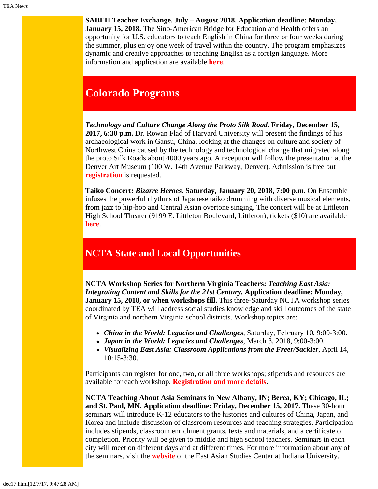**SABEH Teacher Exchange. July – August 2018. Application deadline: Monday, January 15, 2018.** The Sino-American Bridge for Education and Health offers an opportunity for U.S. educators to teach English in China for three or four weeks during the summer, plus enjoy one week of travel within the country. The program emphasizes dynamic and creative approaches to teaching English as a foreign language. More information and application are available **[here](https://www.sabeh.org/teach-in-china)**.

# **Colorado Programs**

*Technology and Culture Change Along the Proto Silk Road***. Friday, December 15, 2017, 6:30 p.m.** Dr. Rowan Flad of Harvard University will present the findings of his archaeological work in Gansu, China, looking at the changes on culture and society of Northwest China caused by the technology and technological change that migrated along the proto Silk Roads about 4000 years ago. A reception will follow the presentation at the Denver Art Museum (100 W. 14th Avenue Parkway, Denver). Admission is free but **[registration](https://denverartmuseum.org/calendar/technology-and-culture-change-along-proto-silk-roads)** is requested.

**Taiko Concert:** *Bizarre Heroes***. Saturday, January 20, 2018, 7:00 p.m.** On Ensemble infuses the powerful rhythms of Japanese taiko drumming with diverse musical elements, from jazz to hip-hop and Central Asian overtone singing. The concert will be at Littleton High School Theater (9199 E. Littleton Boulevard, Littleton); tickets (\$10) are available **[here](http://onensemble.eventbrite.com/)**.

# <span id="page-3-0"></span>**NCTA State and Local Opportunities**

**NCTA Workshop Series for Northern Virginia Teachers:** *Teaching East Asia: Integrating Content and Skills for the 21st Century.* **Application deadline: Monday, January 15, 2018, or when workshops fill.** This three-Saturday NCTA workshop series coordinated by TEA will address social studies knowledge and skill outcomes of the state of Virginia and northern Virginia school districts. Workshop topics are:

- *China in the World: Legacies and Challenges*, Saturday, February 10, 9:00-3:00.
- *Japan in the World: Legacies and Challenges*, March 3, 2018, 9:00-3:00.
- *Visualizing East Asia: Classroom Applications from the Freer/Sackler*, April 14, 10:15-3:30.

Participants can register for one, two, or all three workshops; stipends and resources are available for each workshop. **[Registration and more details](http://www.colorado.edu/ptea/VaNCTA-reg)**.

**NCTA Teaching About Asia Seminars in New Albany, IN; Berea, KY; Chicago, IL; and St. Paul, MN. Application deadline: Friday, December 15, 2017.** These 30-hour seminars will introduce K-12 educators to the histories and cultures of China, Japan, and Korea and include discussion of classroom resources and teaching strategies. Participation includes stipends, classroom enrichment grants, texts and materials, and a certificate of completion. Priority will be given to middle and high school teachers. Seminars in each city will meet on different days and at different times. For more information about any of the seminars, visit the **[website](http://www.indiana.edu/~easc/outreach/educators/seminar/index.shtml)** of the East Asian Studies Center at Indiana University.